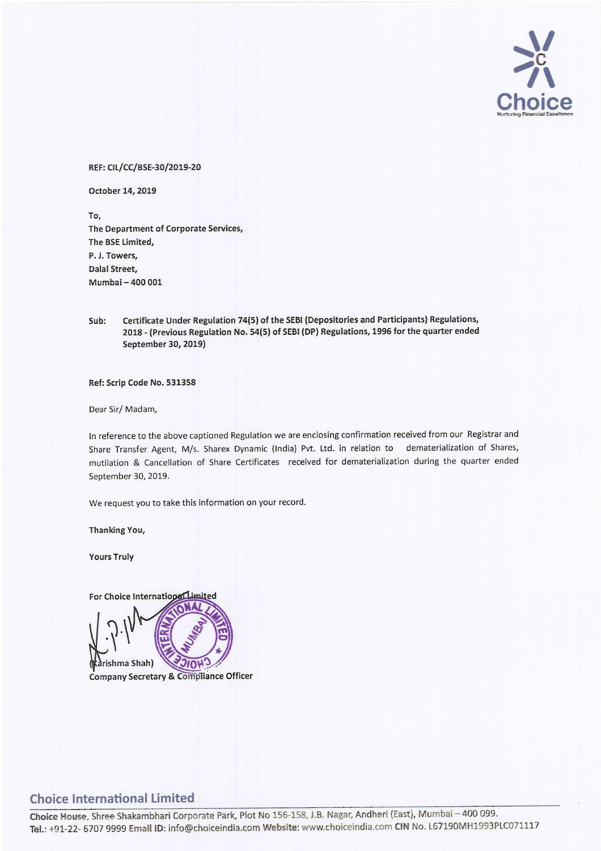

## REF: CIL/CC/BSE-30/2019-20

October 14, 2019

To, The Department of Corporate Services, The BSE Limited, P. J. Towers, Dalal Street, Mumbai — 400 001

Sub: Certificate Under Regulation 74(5) of the SEBI (Depositories and Participants) Regulations, 2018 - (Previous Regulation No. 54(5) of SEBI (DP) Regulations, <sup>1996</sup> for the quarter ended September 30, 2019)

Ref: Scrip Code No. 531358

Dear Sir/ Madam,

In reference to the above captioned Regulation we are enclosing confirmation received from our Registrar and Share Transfer Agent, M/s. Sharex Dynamic (India) Pvt. Ltd. in relation to dematerialization of Shares, mutilation & Cancellation of Share Certificates received for dematerialization during the quarter ended September 30, 2019.

We request you to take this information on your record.

Thanking You,

Yours Truly



## Choice International Limited